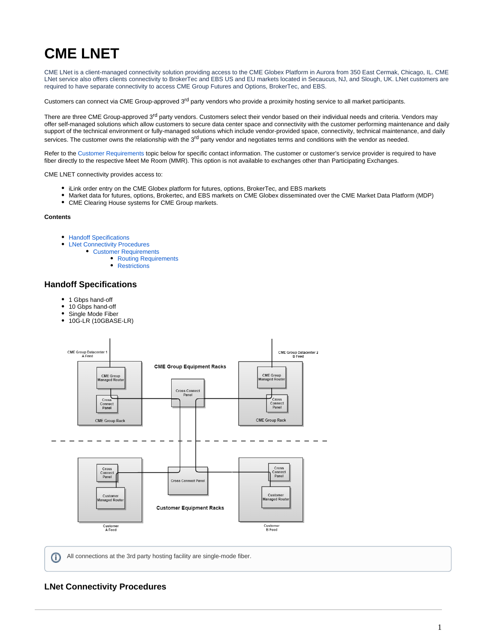# **CME LNET**

CME LNet is a client-managed connectivity solution providing access to the CME Globex Platform in Aurora from 350 East Cermak, Chicago, IL. CME LNet service also offers clients connectivity to BrokerTec and EBS US and EU markets located in Secaucus, NJ, and Slough, UK. LNet customers are required to have separate connectivity to access CME Group Futures and Options, BrokerTec, and EBS.

Customers can connect via CME Group-approved 3<sup>rd</sup> party vendors who provide a proximity hosting service to all market participants.

There are three CME Group-approved 3<sup>rd</sup> party vendors. Customers select their vendor based on their individual needs and criteria. Vendors may offer self-managed solutions which allow customers to secure data center space and connectivity with the customer performing maintenance and daily support of the technical environment or fully-managed solutions which include vendor-provided space, connectivity, technical maintenance, and daily services. The customer owns the relationship with the 3<sup>rd</sup> party vendor and negotiates terms and conditions with the vendor as needed.

Refer to the [Customer Requirements](#page-0-0) topic below for specific contact information. The customer or customer's service provider is required to have fiber directly to the respective Meet Me Room (MMR). This option is not available to exchanges other than Participating Exchanges.

CME LNET connectivity provides access to:

- iLink order entry on the CME Globex platform for futures, options, BrokerTec, and EBS markets
- Market data for futures, options, Brokertec, and EBS markets on CME Globex disseminated over the CME Market Data Platform (MDP)
- CME Clearing House systems for CME Group markets.

## **Contents**

- **[Handoff Specifications](#page-0-1)**
- [LNet Connectivity Procedures](#page-0-2)  $\bullet$ 
	- [Customer Requirements](#page-0-0)
		- [Routing Requirements](#page-1-0)
		- [Restrictions](#page-1-1)

# <span id="page-0-1"></span>**Handoff Specifications**

- 1 Gbps hand-off
- 10 Gbps hand-off
- Single Mode Fiber
- 10G-LR (10GBASE-LR)



All connections at the 3rd party hosting facility are single-mode fiber.G)

# <span id="page-0-2"></span><span id="page-0-0"></span>**LNet Connectivity Procedures**